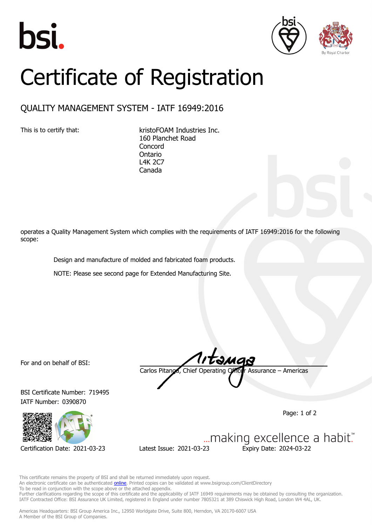





## Certificate of Registration

## QUALITY MANAGEMENT SYSTEM - IATF 16949:2016

This is to certify that: kristoFOAM Industries Inc. 160 Planchet Road **Concord** Ontario L4K 2C7 Canada

operates a Quality Management System which complies with the requirements of IATF 16949:2016 for the following scope:

Design and manufacture of molded and fabricated foam products.

NOTE: Please see second page for Extended Manufacturing Site.

For and on behalf of BSI:

BSI Certificate Number: 719495 IATF Number: 0390870



Carlos Pitanga, Chief Operating Officer Assurance – Americas

Page: 1 of 2

... making excellence a habit." Certification Date: 2021-03-23 Latest Issue: 2021-03-23 Expiry Date: 2024-03-22

This certificate remains the property of BSI and shall be returned immediately upon request. An electronic certificate can be authenticated **[online](https://pgplus.bsigroup.com/CertificateValidation/CertificateValidator.aspx?CertificateNumber=TS+719495&ReIssueDate=23%2f03%2f2021&Template=inc)**. Printed copies can be validated at www.bsigroup.com/ClientDirectory To be read in conjunction with the scope above or the attached appendix. Further clarifications regarding the scope of this certificate and the applicability of IATF 16949 requirements may be obtained by consulting the organization. IATF Contracted Office: BSI Assurance UK Limited, registered in England under number 7805321 at 389 Chiswick High Road, London W4 4AL, UK.

Americas Headquarters: BSI Group America Inc., 12950 Worldgate Drive, Suite 800, Herndon, VA 20170-6007 USA A Member of the BSI Group of Companies.